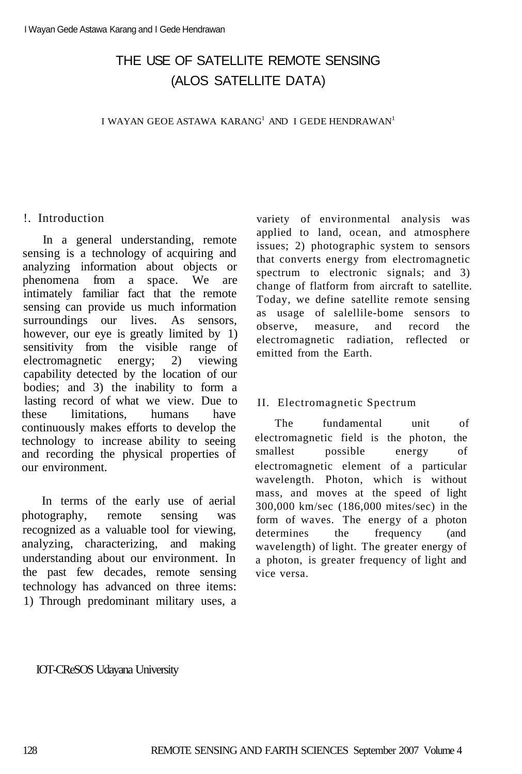# THE USE OF SATELLITE REMOTE SENSING (ALOS SATELLITE DATA)

I WAYAN GEOE ASTAWA KARANG $^{\rm l}$ AND  $\rm ~I$  GEDE HENDRAWAN $^{\rm l}$ 

#### !. Introduction

In a general understanding, remote sensing is a technology of acquiring and analyzing information about objects or phenomena from a space. We are intimately familiar fact that the remote sensing can provide us much information surroundings our lives. As sensors, however, our eye is greatly limited by 1) sensitivity from the visible range of electromagnetic energy; 2) viewing capability detected by the location of our bodies; and 3) the inability to form a lasting record of what we view. Due to these limitations, humans have continuously makes efforts to develop the technology to increase ability to seeing and recording the physical properties of our environment.

In terms of the early use of aerial photography, remote sensing was recognized as a valuable tool for viewing, analyzing, characterizing, and making understanding about our environment. In the past few decades, remote sensing technology has advanced on three items: 1) Through predominant military uses, a

variety of environmental analysis was applied to land, ocean, and atmosphere issues; 2) photographic system to sensors that converts energy from electromagnetic spectrum to electronic signals; and 3) change of flatform from aircraft to satellite. Today, we define satellite remote sensing as usage of salellile-bome sensors to observe, measure, and record the electromagnetic radiation, reflected or emitted from the Earth.

#### II. Electromagnetic Spectrum

The fundamental unit of electromagnetic field is the photon, the smallest possible energy of electromagnetic element of a particular wavelength. Photon, which is without mass, and moves at the speed of light 300,000 km/sec (186,000 mites/sec) in the form of waves. The energy of a photon determines the frequency (and wavelength) of light. The greater energy of a photon, is greater frequency of light and vice versa.

IOT-CReSOS Udayana University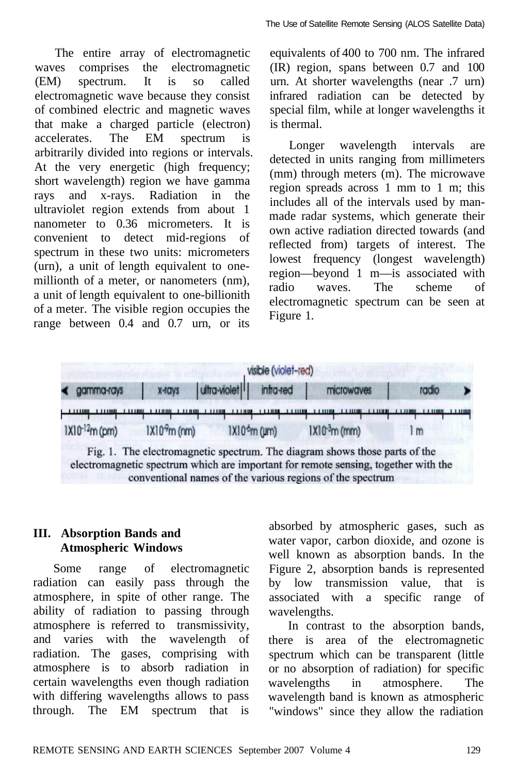The entire array of electromagnetic waves comprises the electromagnetic (EM) spectrum. It is so called electromagnetic wave because they consist of combined electric and magnetic waves that make a charged particle (electron) accelerates. The EM spectrum is arbitrarily divided into regions or intervals. At the very energetic (high frequency; short wavelength) region we have gamma rays and x-rays. Radiation in the ultraviolet region extends from about 1 nanometer to 0.36 micrometers. It is convenient to detect mid-regions of spectrum in these two units: micrometers (urn), a unit of length equivalent to onemillionth of a meter, or nanometers (nm), a unit of length equivalent to one-billionith of a meter. The visible region occupies the range between 0.4 and 0.7 urn, or its

equivalents of 400 to 700 nm. The infrared (IR) region, spans between 0.7 and 100 urn. At shorter wavelengths (near .7 urn) infrared radiation can be detected by special film, while at longer wavelengths it is thermal.

Longer wavelength intervals are detected in units ranging from millimeters (mm) through meters (m). The microwave region spreads across 1 mm to 1 m; this includes all of the intervals used by manmade radar systems, which generate their own active radiation directed towards (and reflected from) targets of interest. The lowest frequency (longest wavelength) region—beyond 1 m—is associated with radio waves. The scheme of electromagnetic spectrum can be seen at Figure 1.



# **III. Absorption Bands and Atmospheric Windows**

Some range of electromagnetic radiation can easily pass through the atmosphere, in spite of other range. The ability of radiation to passing through atmosphere is referred to transmissivity, and varies with the wavelength of radiation. The gases, comprising with atmosphere is to absorb radiation in certain wavelengths even though radiation with differing wavelengths allows to pass through. The EM spectrum that is absorbed by atmospheric gases, such as water vapor, carbon dioxide, and ozone is well known as absorption bands. In the Figure 2, absorption bands is represented by low transmission value, that is associated with a specific range of wavelengths.

In contrast to the absorption bands, there is area of the electromagnetic spectrum which can be transparent (little or no absorption of radiation) for specific wavelengths in atmosphere. The wavelength band is known as atmospheric "windows" since they allow the radiation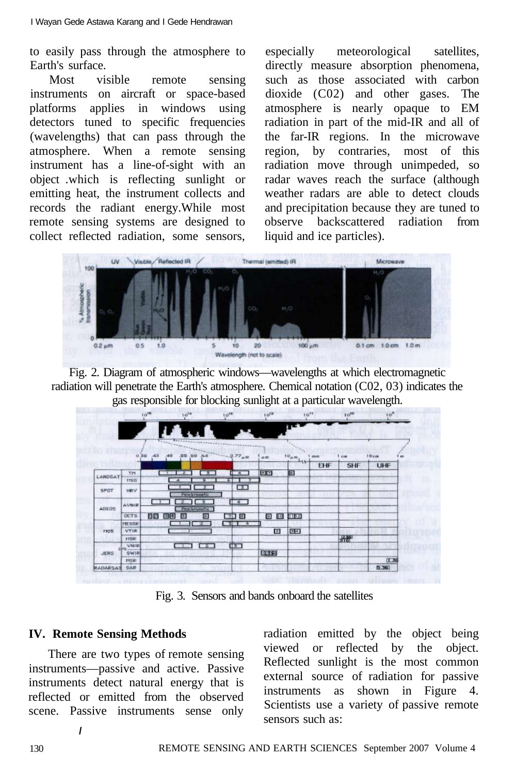to easily pass through the atmosphere to Earth's surface.

Most visible remote sensing instruments on aircraft or space-based platforms applies in windows using detectors tuned to specific frequencies (wavelengths) that can pass through the atmosphere. When a remote sensing instrument has a line-of-sight with an object .which is reflecting sunlight or emitting heat, the instrument collects and records the radiant energy.While most remote sensing systems are designed to collect reflected radiation, some sensors, especially meteorological satellites, directly measure absorption phenomena, such as those associated with carbon dioxide (C02) and other gases. The atmosphere is nearly opaque to EM radiation in part of the mid-IR and all of the far-IR regions. In the microwave region, by contraries, most of this radiation move through unimpeded, so radar waves reach the surface (although weather radars are able to detect clouds and precipitation because they are tuned to observe backscattered radiation from liquid and ice particles).



Fig. 2. Diagram of atmospheric windows—wavelengths at which electromagnetic radiation will penetrate the Earth's atmosphere. Chemical notation (C02, 03) indicates the gas responsible for blocking sunlight at a particular wavelength.

|                           |              | $10^{10}$   | $10^{14}$           |                            | $10^{18}$     |        | $10^{52}$ | $10^{11}$       |     | $10^{10}$  | 10 <sup>9</sup>  |   |
|---------------------------|--------------|-------------|---------------------|----------------------------|---------------|--------|-----------|-----------------|-----|------------|------------------|---|
|                           |              |             |                     |                            |               |        |           |                 |     |            |                  |   |
|                           |              | $0.38 - 43$ | <b>START</b><br>-49 | .55.89.64                  | $-4.977$ am   |        | Ak MY     | 10 <sub>m</sub> | mm  | 1 cm       | 10 <sub>um</sub> | m |
|                           |              |             |                     |                            |               |        |           | <b>ALL</b>      | EHF | <b>SHF</b> | <b>UHF</b>       |   |
| LANDSAT                   | TM           |             |                     | ж                          | п             | ्व     | 50        | 圓               |     |            |                  |   |
|                           | 1195         |             | ٠                   |                            | s.            |        |           |                 |     |            |                  |   |
| SPOT                      | <b>HRV</b>   |             |                     | <b>Panchrametic</b>        |               | $\Box$ |           |                 |     |            |                  |   |
| ADEQS                     | AVNIR        |             |                     | л<br><b>First-hromatic</b> | $\frac{4}{3}$ |        |           |                 |     |            |                  |   |
|                           | <b>UCTS</b>  | 回回          | 国国<br>日             | 固                          | $-12$         | $\Box$ | 回回        | 33193           |     |            |                  |   |
|                           | <b>MESSR</b> |             |                     |                            | 51            |        |           |                 |     |            |                  |   |
| 1105                      | <b>VTIR</b>  |             |                     |                            |               |        | $^{2}$    | 541             |     |            |                  |   |
|                           | <b>HSR</b>   |             |                     |                            |               |        |           |                 |     | 子部         |                  |   |
| <b>OPS</b><br><b>JERS</b> | VNIR         |             |                     | 2                          | $\sqrt{8}$    |        |           |                 |     |            |                  |   |
|                           | <b>SWIRE</b> |             |                     |                            |               |        | 日本語       |                 |     |            |                  |   |
|                           | PISR         |             |                     |                            |               |        |           |                 |     |            | 0.56             |   |
| <b><i>RADARSAT</i></b>    | SAR          |             |                     |                            |               |        |           |                 |     |            | 5.361            |   |

Fig. 3. Sensors and bands onboard the satellites

## **IV. Remote Sensing Methods**

There are two types of remote sensing instruments—passive and active. Passive instruments detect natural energy that is reflected or emitted from the observed scene. Passive instruments sense only radiation emitted by the object being viewed or reflected by the object. Reflected sunlight is the most common external source of radiation for passive instruments as shown in Figure 4. Scientists use a variety of passive remote sensors such as:

**/**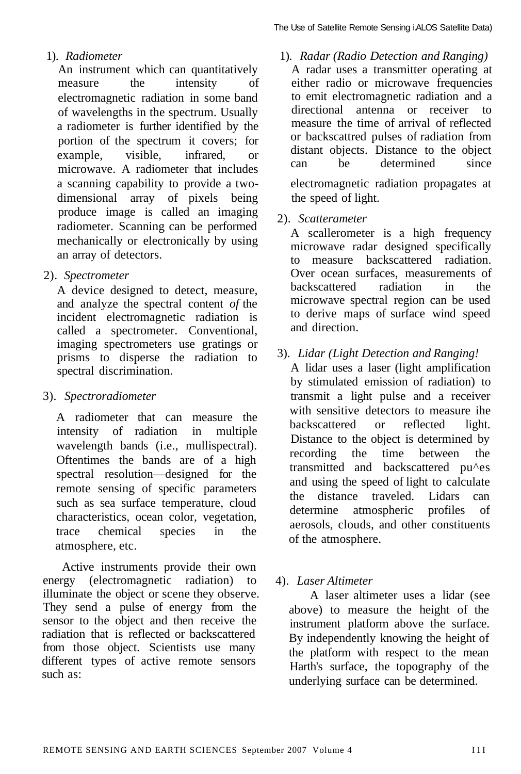#### 1). *Radiometer*

An instrument which can quantitatively measure the intensity of electromagnetic radiation in some band of wavelengths in the spectrum. Usually a radiometer is further identified by the portion of the spectrum it covers; for example, visible, infrared, or microwave. A radiometer that includes a scanning capability to provide a twodimensional array of pixels being produce image is called an imaging radiometer. Scanning can be performed mechanically or electronically by using an array of detectors.

2). *Spectrometer* 

A device designed to detect, measure, and analyze the spectral content *of* the incident electromagnetic radiation is called a spectrometer. Conventional, imaging spectrometers use gratings or prisms to disperse the radiation to spectral discrimination.

#### 3). *Spectroradiometer*

A radiometer that can measure the intensity of radiation in multiple wavelength bands (i.e., mullispectral). Oftentimes the bands are of a high spectral resolution—designed for the remote sensing of specific parameters such as sea surface temperature, cloud characteristics, ocean color, vegetation, trace chemical species in the atmosphere, etc.

Active instruments provide their own energy (electromagnetic radiation) to illuminate the object or scene they observe. They send a pulse of energy from the sensor to the object and then receive the radiation that is reflected or backscattered from those object. Scientists use many different types of active remote sensors such as:

1). *Radar (Radio Detection and Ranging)* 

A radar uses a transmitter operating at either radio or microwave frequencies to emit electromagnetic radiation and a directional antenna or receiver to measure the time of arrival of reflected or backscattred pulses of radiation from distant objects. Distance to the object can be determined since electromagnetic radiation propagates at the speed of light.

2). *Scatterameter* 

A scallerometer is a high frequency microwave radar designed specifically to measure backscattered radiation. Over ocean surfaces, measurements of backscattered radiation in the microwave spectral region can be used to derive maps of surface wind speed and direction.

3). *Lidar (Light Detection and Ranging!* 

A lidar uses a laser (light amplification by stimulated emission of radiation) to transmit a light pulse and a receiver with sensitive detectors to measure ihe backscattered or reflected light. Distance to the object is determined by recording the time between the transmitted and backscattered pu^es and using the speed of light to calculate the distance traveled. Lidars can determine atmospheric profiles of aerosols, clouds, and other constituents of the atmosphere.

#### 4). *Laser Altimeter*

A laser altimeter uses a lidar (see above) to measure the height of the instrument platform above the surface. By independently knowing the height of the platform with respect to the mean Harth's surface, the topography of the underlying surface can be determined.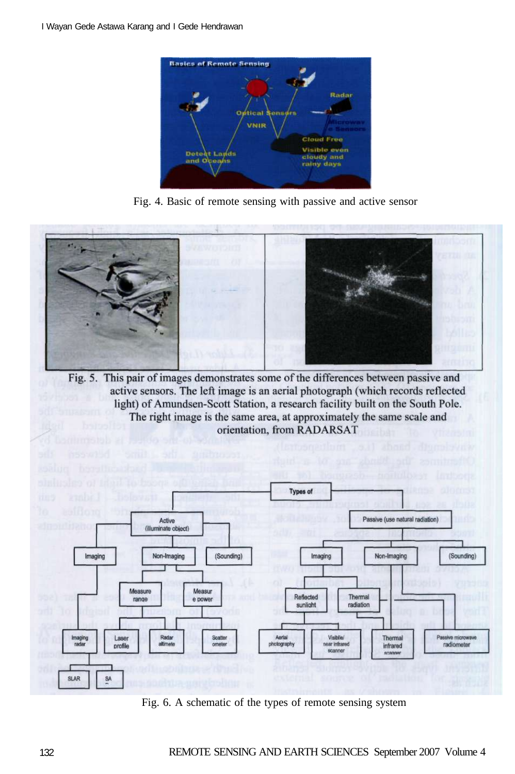

Fig. 4. Basic of remote sensing with passive and active sensor



Fig. 5. This pair of images demonstrates some of the differences between passive and active sensors. The left image is an aerial photograph (which records reflected light) of Amundsen-Scott Station, a research facility built on the South Pole. The right image is the same area, at approximately the same scale and orientation, from RADARSAT



Fig. 6. A schematic of the types of remote sensing system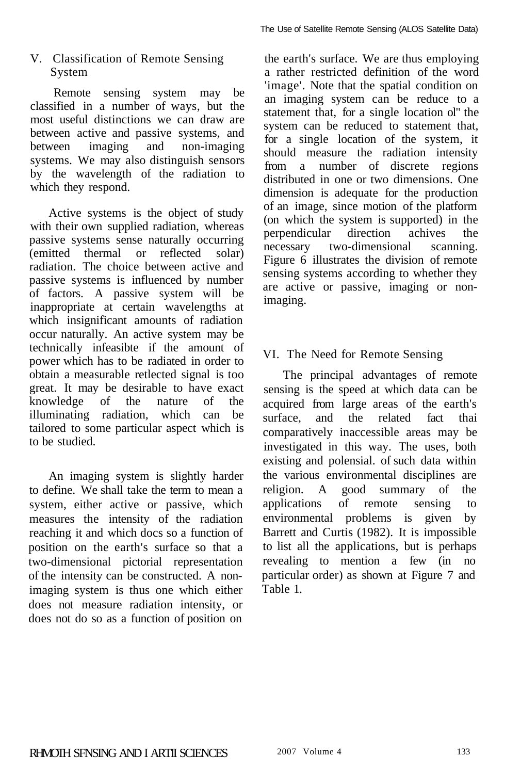# V. Classification of Remote Sensing System

Remote sensing system may be classified in a number of ways, but the most useful distinctions we can draw are between active and passive systems, and between imaging and non-imaging systems. We may also distinguish sensors by the wavelength of the radiation to which they respond.

Active systems is the object of study with their own supplied radiation, whereas passive systems sense naturally occurring (emitted thermal or reflected solar) radiation. The choice between active and passive systems is influenced by number of factors. A passive system will be inappropriate at certain wavelengths at which insignificant amounts of radiation occur naturally. An active system may be technically infeasibte if the amount of power which has to be radiated in order to obtain a measurable retlected signal is too great. It may be desirable to have exact knowledge of the nature of the illuminating radiation, which can be tailored to some particular aspect which is to be studied.

An imaging system is slightly harder to define. We shall take the term to mean a system, either active or passive, which measures the intensity of the radiation reaching it and which docs so a function of position on the earth's surface so that a two-dimensional pictorial representation of the intensity can be constructed. A nonimaging system is thus one which either does not measure radiation intensity, or does not do so as a function of position on

the earth's surface. We are thus employing a rather restricted definition of the word 'image'. Note that the spatial condition on an imaging system can be reduce to a statement that, for a single location ol" the system can be reduced to statement that, for a single location of the system, it should measure the radiation intensity from a number of discrete regions distributed in one or two dimensions. One dimension is adequate for the production of an image, since motion of the platform (on which the system is supported) in the perpendicular direction achives the necessary two-dimensional scanning. Figure 6 illustrates the division of remote sensing systems according to whether they are active or passive, imaging or nonimaging.

# VI. The Need for Remote Sensing

The principal advantages of remote sensing is the speed at which data can be acquired from large areas of the earth's surface, and the related fact thai comparatively inaccessible areas may be investigated in this way. The uses, both existing and polensial. of such data within the various environmental disciplines are religion. A good summary of the applications of remote sensing to environmental problems is given by Barrett and Curtis (1982). It is impossible to list all the applications, but is perhaps revealing to mention a few (in no particular order) as shown at Figure 7 and Table 1.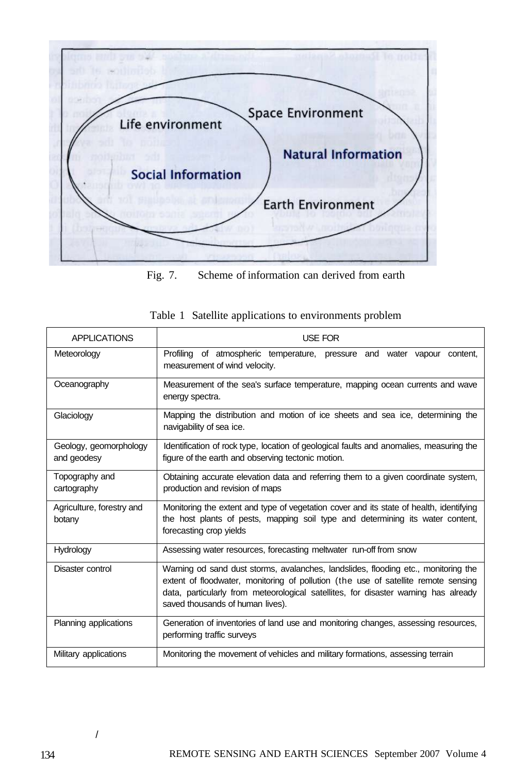

Fig. 7. Scheme of information can derived from earth

| <b>APPLICATIONS</b>                   | <b>USE FOR</b>                                                                                                                                                                                                                                                                                      |  |  |  |  |  |  |  |
|---------------------------------------|-----------------------------------------------------------------------------------------------------------------------------------------------------------------------------------------------------------------------------------------------------------------------------------------------------|--|--|--|--|--|--|--|
| Meteorology                           | Profiling of atmospheric temperature, pressure and water vapour content,<br>measurement of wind velocity.                                                                                                                                                                                           |  |  |  |  |  |  |  |
| Oceanography                          | Measurement of the sea's surface temperature, mapping ocean currents and wave<br>energy spectra.                                                                                                                                                                                                    |  |  |  |  |  |  |  |
| Glaciology                            | Mapping the distribution and motion of ice sheets and sea ice, determining the<br>navigability of sea ice.                                                                                                                                                                                          |  |  |  |  |  |  |  |
| Geology, geomorphology<br>and geodesy | Identification of rock type, location of geological faults and anomalies, measuring the<br>figure of the earth and observing tectonic motion.                                                                                                                                                       |  |  |  |  |  |  |  |
| Topography and<br>cartography         | Obtaining accurate elevation data and referring them to a given coordinate system,<br>production and revision of maps                                                                                                                                                                               |  |  |  |  |  |  |  |
| Agriculture, forestry and<br>botany   | Monitoring the extent and type of vegetation cover and its state of health, identifying<br>the host plants of pests, mapping soil type and determining its water content,<br>forecasting crop yields                                                                                                |  |  |  |  |  |  |  |
| <b>Hydrology</b>                      | Assessing water resources, forecasting meltwater run-off from snow                                                                                                                                                                                                                                  |  |  |  |  |  |  |  |
| Disaster control                      | Warning od sand dust storms, avalanches, landslides, flooding etc., monitoring the<br>extent of floodwater, monitoring of pollution (the use of satellite remote sensing<br>data, particularly from meteorological satellites, for disaster warning has already<br>saved thousands of human lives). |  |  |  |  |  |  |  |
| Planning applications                 | Generation of inventories of land use and monitoring changes, assessing resources,<br>performing traffic surveys                                                                                                                                                                                    |  |  |  |  |  |  |  |
| Military applications                 | Monitoring the movement of vehicles and military formations, assessing terrain                                                                                                                                                                                                                      |  |  |  |  |  |  |  |

|  |  | Table 1 Satellite applications to environments problem |
|--|--|--------------------------------------------------------|
|  |  |                                                        |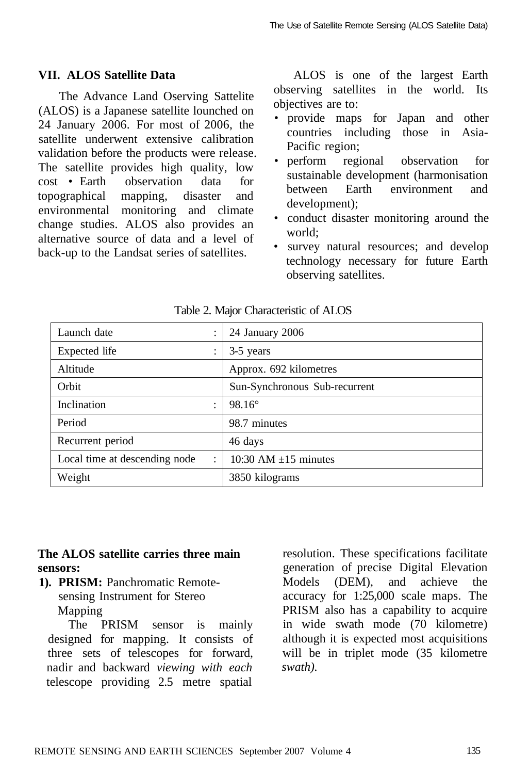## **VII. ALOS Satellite Data**

The Advance Land Oserving Sattelite (ALOS) is a Japanese satellite lounched on 24 January 2006. For most of 2006, the satellite underwent extensive calibration validation before the products were release. The satellite provides high quality, low cost • Earth observation data for topographical mapping, disaster and environmental monitoring and climate change studies. ALOS also provides an alternative source of data and a level of back-up to the Landsat series of satellites.

ALOS is one of the largest Earth observing satellites in the world. Its objectives are to:

- provide maps for Japan and other countries including those in Asia-Pacific region;
- perform regional observation for sustainable development (harmonisation between Earth environment and development);
- conduct disaster monitoring around the world;
- survey natural resources; and develop technology necessary for future Earth observing satellites.

| Launch date<br>$\ddot{\cdot}$                   | 24 January 2006               |  |  |  |
|-------------------------------------------------|-------------------------------|--|--|--|
| Expected life<br>$\ddot{\cdot}$                 | 3-5 years                     |  |  |  |
| Altitude                                        | Approx. 692 kilometres        |  |  |  |
| Orbit                                           | Sun-Synchronous Sub-recurrent |  |  |  |
| Inclination<br>$\ddot{\cdot}$                   | $98.16^{\circ}$               |  |  |  |
| Period                                          | 98.7 minutes                  |  |  |  |
| Recurrent period                                | 46 days                       |  |  |  |
| Local time at descending node<br>$\ddot{\cdot}$ | 10:30 AM $\pm$ 15 minutes     |  |  |  |
| Weight                                          | 3850 kilograms                |  |  |  |

Table 2. Major Characteristic of ALOS

## **The ALOS satellite carries three main sensors:**

**1). PRISM:** Panchromatic Remotesensing Instrument for Stereo Mapping

The PRISM sensor is mainly designed for mapping. It consists of three sets of telescopes for forward, nadir and backward *viewing with each*  telescope providing 2.5 metre spatial

resolution. These specifications facilitate generation of precise Digital Elevation Models (DEM), and achieve the accuracy for 1:25,000 scale maps. The PRISM also has a capability to acquire in wide swath mode (70 kilometre) although it is expected most acquisitions will be in triplet mode (35 kilometre *swath).*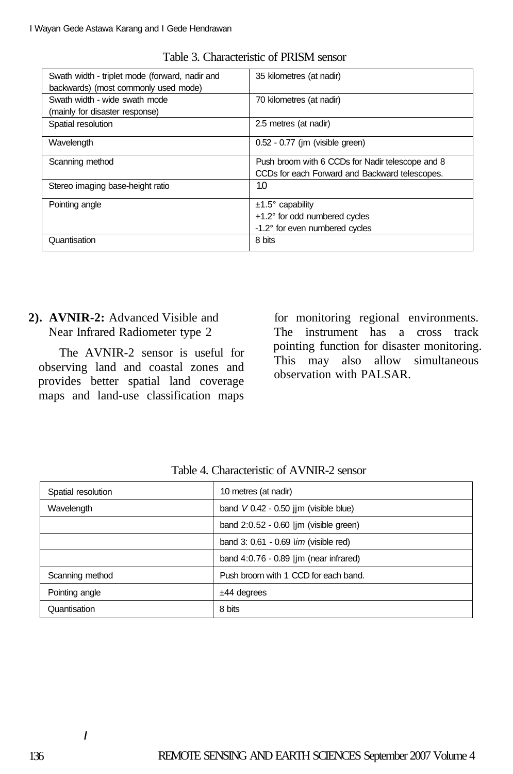| Swath width - triplet mode (forward, nadir and | 35 kilometres (at nadir)                         |
|------------------------------------------------|--------------------------------------------------|
| backwards) (most commonly used mode)           |                                                  |
| Swath width - wide swath mode                  | 70 kilometres (at nadir)                         |
| (mainly for disaster response)                 |                                                  |
| Spatial resolution                             | 2.5 metres (at nadir)                            |
| Wavelength                                     | $0.52 - 0.77$ (im (visible green)                |
| Scanning method                                | Push broom with 6 CCDs for Nadir telescope and 8 |
|                                                | CCDs for each Forward and Backward telescopes.   |
| Stereo imaging base-height ratio               | 10                                               |
| Pointing angle                                 | $±1.5^\circ$ capability                          |
|                                                | +1.2° for odd numbered cycles                    |
|                                                | -1.2° for even numbered cycles                   |
| Quantisation                                   | 8 bits                                           |

Table 3. Characteristic of PRISM sensor

# **2). AVNIR-2:** Advanced Visible and Near Infrared Radiometer type 2

The AVNIR-2 sensor is useful for observing land and coastal zones and provides better spatial land coverage maps and land-use classification maps

for monitoring regional environments. The instrument has a cross track pointing function for disaster monitoring. This may also allow simultaneous observation with PALSAR.

| Spatial resolution | 10 metres (at nadir)                                   |  |  |  |
|--------------------|--------------------------------------------------------|--|--|--|
| Wavelength         | band $V 0.42 - 0.50$ jim (visible blue)                |  |  |  |
|                    | band $2:0.52 - 0.60$  im (visible green)               |  |  |  |
|                    | band 3: $0.61 - 0.69$ <i>\im (visible red)</i>         |  |  |  |
|                    | band $4:0.76 - 0.89$ $\vert \text{im}$ (near infrared) |  |  |  |
| Scanning method    | Push broom with 1 CCD for each band.                   |  |  |  |
| Pointing angle     | $±44$ degrees                                          |  |  |  |
| Quantisation       | 8 bits                                                 |  |  |  |

Table 4. Characteristic of AVNIR-2 sensor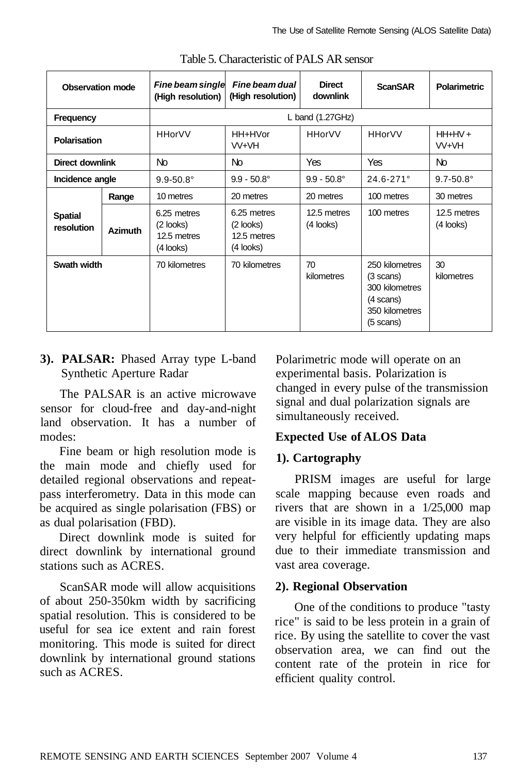| Observation mode             |                | Fine beam single<br>(High resolution)                | Fine beam dual<br>(High resolution)                    | <b>Direct</b><br>downlink  | <b>ScanSAR</b>                                                                                      | <b>Polarimetric</b>      |  |  |  |
|------------------------------|----------------|------------------------------------------------------|--------------------------------------------------------|----------------------------|-----------------------------------------------------------------------------------------------------|--------------------------|--|--|--|
| Frequency                    |                | L band $(1.27 \text{GHz})$                           |                                                        |                            |                                                                                                     |                          |  |  |  |
| Polarisation                 |                | <b>HHorVV</b>                                        | HH+HVor<br>VV+VH                                       | <b>HHorVV</b>              | <b>HHorVV</b>                                                                                       | $HH+HV+$<br>VV+VH        |  |  |  |
| <b>Direct downlink</b>       |                | No.                                                  | No.                                                    | <b>Yes</b>                 | <b>Yes</b>                                                                                          | No                       |  |  |  |
| Incidence angle              |                | $9.9 - 50.8$ °                                       | $9.9 - 50.8^{\circ}$                                   | $9.9 - 50.8^{\circ}$       | $24.6 - 271$ °                                                                                      | $9.7 - 50.8$ °           |  |  |  |
|                              | Range          | 10 metres                                            | 20 metres                                              | 20 metres                  | 100 metres                                                                                          | 30 metres                |  |  |  |
| <b>Spatial</b><br>resolution | <b>Azimuth</b> | 6.25 metres<br>(2 looks)<br>12.5 metres<br>(4 looks) | 6.25 metres<br>$(2$ looks)<br>12.5 metres<br>(4 looks) | 12.5 metres<br>$(4$ looks) | 100 metres                                                                                          | 12.5 metres<br>(4 looks) |  |  |  |
| Swath width                  |                | 70 kilometres                                        | 70 kilometres                                          | 70<br>kilometres           | 250 kilometres<br>(3 scans)<br>300 kilometres<br>(4 scans)<br>350 kilometres<br>$(5 \text{ scans})$ | 30<br>kilometres         |  |  |  |

Table 5. Characteristic of PALS AR sensor

# **3). PALSAR:** Phased Array type L-band Synthetic Aperture Radar

The PALSAR is an active microwave sensor for cloud-free and day-and-night land observation. It has a number of modes:

Fine beam or high resolution mode is the main mode and chiefly used for detailed regional observations and repeatpass interferometry. Data in this mode can be acquired as single polarisation (FBS) or as dual polarisation (FBD).

Direct downlink mode is suited for direct downlink by international ground stations such as ACRES.

ScanSAR mode will allow acquisitions of about 250-350km width by sacrificing spatial resolution. This is considered to be useful for sea ice extent and rain forest monitoring. This mode is suited for direct downlink by international ground stations such as ACRES.

Polarimetric mode will operate on an experimental basis. Polarization is changed in every pulse of the transmission signal and dual polarization signals are simultaneously received.

# **Expected Use of ALOS Data**

# **1). Cartography**

PRISM images are useful for large scale mapping because even roads and rivers that are shown in a 1/25,000 map are visible in its image data. They are also very helpful for efficiently updating maps due to their immediate transmission and vast area coverage.

## **2). Regional Observation**

One of the conditions to produce "tasty rice" is said to be less protein in a grain of rice. By using the satellite to cover the vast observation area, we can find out the content rate of the protein in rice for efficient quality control.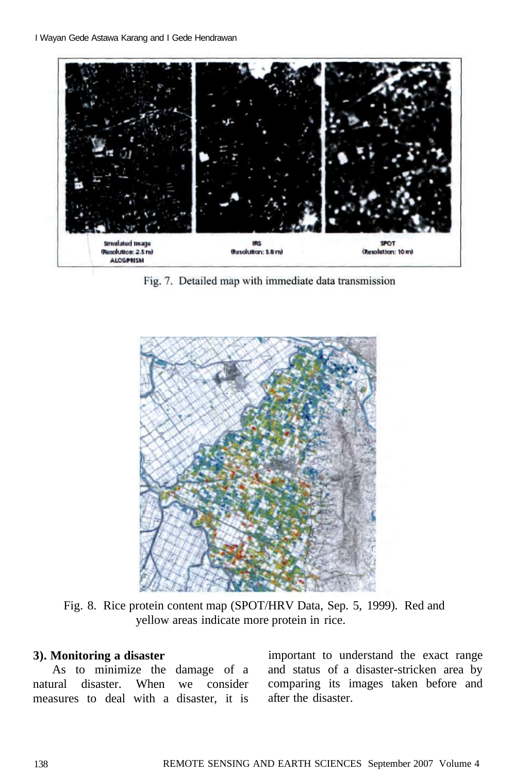

Fig. 7. Detailed map with immediate data transmission



Fig. 8. Rice protein content map (SPOT/HRV Data, Sep. 5, 1999). Red and yellow areas indicate more protein in rice.

## **3). Monitoring a disaster**

As to minimize the damage of a natural disaster. When we consider measures to deal with a disaster, it is

important to understand the exact range and status of a disaster-stricken area by comparing its images taken before and after the disaster.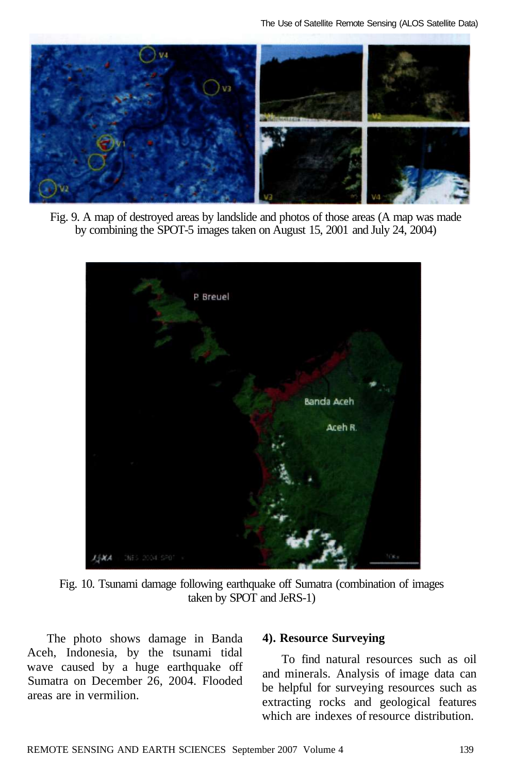

Fig. 9. A map of destroyed areas by landslide and photos of those areas (A map was made by combining the SPOT-5 images taken on August 15, 2001 and July 24, 2004)



Fig. 10. Tsunami damage following earthquake off Sumatra (combination of images taken by SPOT and JeRS-1)

The photo shows damage in Banda Aceh, Indonesia, by the tsunami tidal wave caused by a huge earthquake off Sumatra on December 26, 2004. Flooded areas are in vermilion.

#### **4). Resource Surveying**

To find natural resources such as oil and minerals. Analysis of image data can be helpful for surveying resources such as extracting rocks and geological features which are indexes of resource distribution.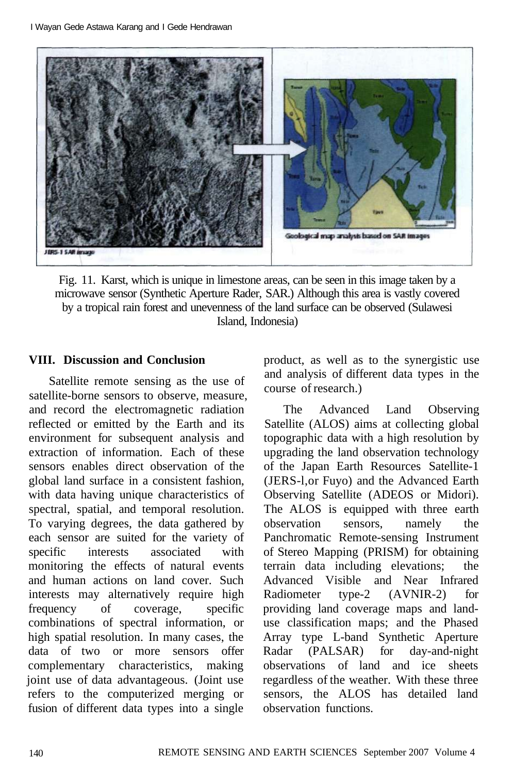

Fig. 11. Karst, which is unique in limestone areas, can be seen in this image taken by a microwave sensor (Synthetic Aperture Rader, SAR.) Although this area is vastly covered by a tropical rain forest and unevenness of the land surface can be observed (Sulawesi Island, Indonesia)

#### **VIII. Discussion and Conclusion**

Satellite remote sensing as the use of satellite-borne sensors to observe, measure, and record the electromagnetic radiation reflected or emitted by the Earth and its environment for subsequent analysis and extraction of information. Each of these sensors enables direct observation of the global land surface in a consistent fashion, with data having unique characteristics of spectral, spatial, and temporal resolution. To varying degrees, the data gathered by each sensor are suited for the variety of specific interests associated with monitoring the effects of natural events and human actions on land cover. Such interests may alternatively require high frequency of coverage, specific combinations of spectral information, or high spatial resolution. In many cases, the data of two or more sensors offer complementary characteristics, making joint use of data advantageous. (Joint use refers to the computerized merging or fusion of different data types into a single

product, as well as to the synergistic use and analysis of different data types in the course of research.)

The Advanced Land Observing Satellite (ALOS) aims at collecting global topographic data with a high resolution by upgrading the land observation technology of the Japan Earth Resources Satellite-1 (JERS-l,or Fuyo) and the Advanced Earth Observing Satellite (ADEOS or Midori). The ALOS is equipped with three earth observation sensors, namely the Panchromatic Remote-sensing Instrument of Stereo Mapping (PRISM) for obtaining terrain data including elevations; the Advanced Visible and Near Infrared Radiometer type-2 (AVNIR-2) for providing land coverage maps and landuse classification maps; and the Phased Array type L-band Synthetic Aperture Radar (PALSAR) for day-and-night observations of land and ice sheets regardless of the weather. With these three sensors, the ALOS has detailed land observation functions.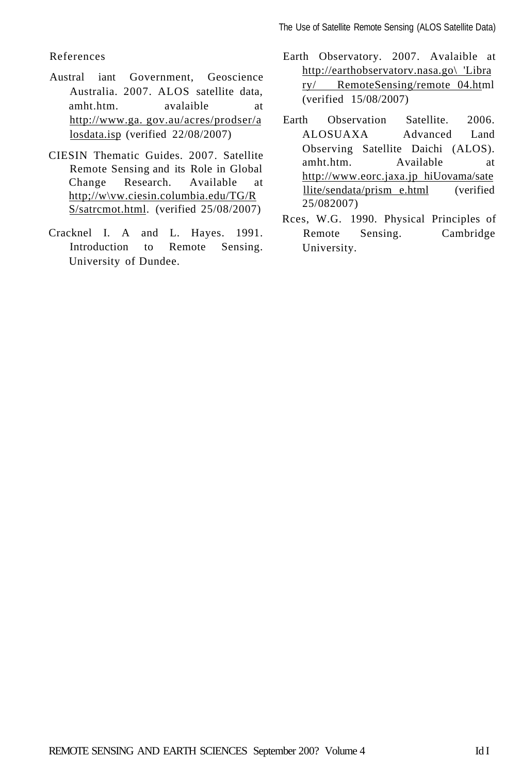#### References

- Austral iant Government, Geoscience Australia. 2007. ALOS satellite data, amht.htm. avalaible at [http://www.ga.](http://www.ga) gov.au/acres/prodser/a losdata.isp (verified 22/08/2007)
- CIESIN Thematic Guides. 2007. Satellite Remote Sensing and its Role in Global Change Research. Available at http;//w\vw.ciesin.columbia.edu/TG/R S/satrcmot.html. (verified 25/08/2007)
- Cracknel I. A and L. Hayes. 1991. Introduction to Remote Sensing. University of Dundee.
- Earth Observatory. 2007. Avalaible at [http://earthobservatorv.nasa.go\](http://earthobservatorv.nasa.go/) 'Libra ry/ RemoteSensing/remote 04.html (verified 15/08/2007)
- Earth Observation Satellite. 2006. ALOSUAXA Advanced Land Observing Satellite Daichi (ALOS). amht.htm. Available at [http://www.eorc.jaxa.jp h](http://www.eorc.jaxa.jp)iUovama/sate llite/sendata/prism e.html (verified 25/082007)
- Rces, W.G. 1990. Physical Principles of Remote Sensing. Cambridge University.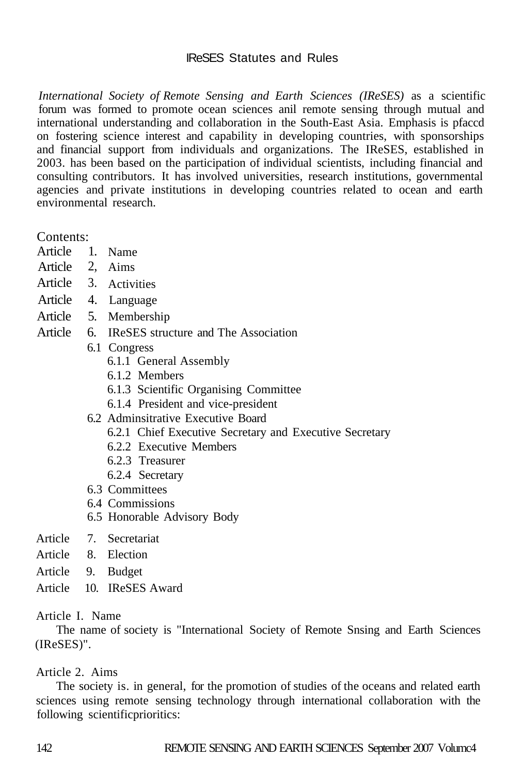# IReSES Statutes and Rules

*International Society of Remote Sensing and Earth Sciences (IReSES)* as a scientific forum was formed to promote ocean sciences anil remote sensing through mutual and international understanding and collaboration in the South-East Asia. Emphasis is pfaccd on fostering science interest and capability in developing countries, with sponsorships and financial support from individuals and organizations. The IReSES, established in 2003. has been based on the participation of individual scientists, including financial and consulting contributors. It has involved universities, research institutions, governmental agencies and private institutions in developing countries related to ocean and earth environmental research.

Contents:

- Article 1. Name
- Article 2, Aims
- Article 3. Activities
- Article 4. Language
- Article 5. Membership
- Article 6. IReSES structure and The Association
	- 6.1 Congress
		- 6.1.1 General Assembly
		- 6.1.2 Members
		- 6.1.3 Scientific Organising Committee
		- 6.1.4 President and vice-president
	- 6.2 Adminsitrative Executive Board
		- 6.2.1 Chief Executive Secretary and Executive Secretary
		- 6.2.2 Executive Members
		- 6.2.3 Treasurer
		- 6.2.4 Secretary
	- 6.3 Committees
	- 6.4 Commissions
	- 6.5 Honorable Advisory Body
- Article 7. Secretariat
- Article 8. Election
- Article 9. Budget
- Article 10. IReSES Award

## Article I. Name

The name of society is "International Society of Remote Snsing and Earth Sciences (IReSES)".

# Article 2. Aims

The society is. in general, for the promotion of studies of the oceans and related earth sciences using remote sensing technology through international collaboration with the following scientificprioritics: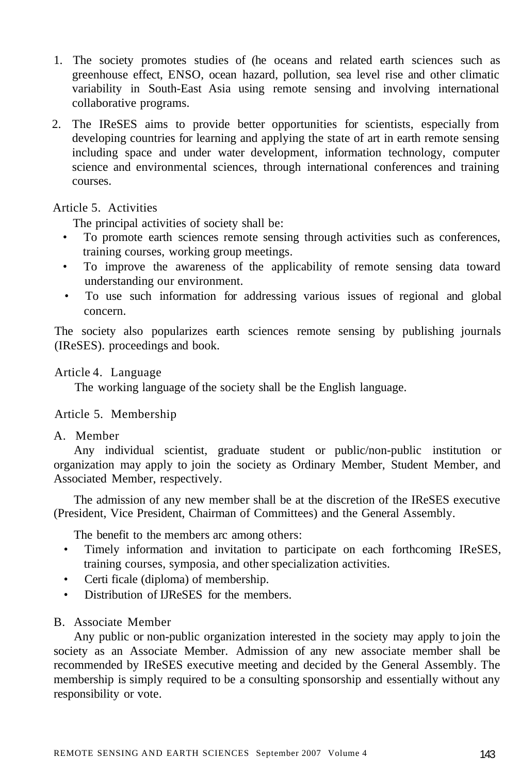- 1. The society promotes studies of (he oceans and related earth sciences such as greenhouse effect, ENSO, ocean hazard, pollution, sea level rise and other climatic variability in South-East Asia using remote sensing and involving international collaborative programs.
- 2. The IReSES aims to provide better opportunities for scientists, especially from developing countries for learning and applying the state of art in earth remote sensing including space and under water development, information technology, computer science and environmental sciences, through international conferences and training courses.

#### Article 5. Activities

The principal activities of society shall be:

- To promote earth sciences remote sensing through activities such as conferences, training courses, working group meetings.
- To improve the awareness of the applicability of remote sensing data toward understanding our environment.
- To use such information for addressing various issues of regional and global concern.

The society also popularizes earth sciences remote sensing by publishing journals (IReSES). proceedings and book.

#### Article 4. Language

The working language of the society shall be the English language.

## Article 5. Membership

A. Member

Any individual scientist, graduate student or public/non-public institution or organization may apply to join the society as Ordinary Member, Student Member, and Associated Member, respectively.

The admission of any new member shall be at the discretion of the IReSES executive (President, Vice President, Chairman of Committees) and the General Assembly.

The benefit to the members arc among others:

- Timely information and invitation to participate on each forthcoming IReSES, training courses, symposia, and other specialization activities.
- Certi ficale (diploma) of membership.
- Distribution of IJReSES for the members.
- B. Associate Member

Any public or non-public organization interested in the society may apply to join the society as an Associate Member. Admission of any new associate member shall be recommended by IReSES executive meeting and decided by the General Assembly. The membership is simply required to be a consulting sponsorship and essentially without any responsibility or vote.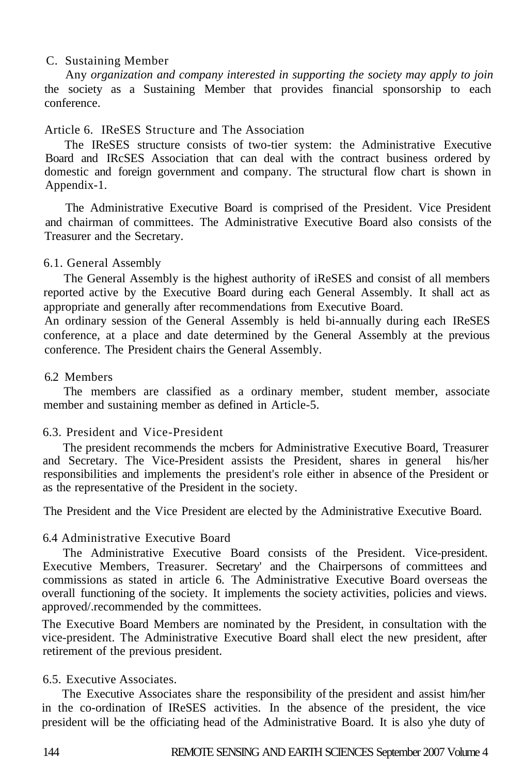#### C. Sustaining Member

Any *organization and company interested in supporting the society may apply to join*  the society as a Sustaining Member that provides financial sponsorship to each conference.

## Article 6. IReSES Structure and The Association

The IReSES structure consists of two-tier system: the Administrative Executive Board and IRcSES Association that can deal with the contract business ordered by domestic and foreign government and company. The structural flow chart is shown in Appendix-1.

The Administrative Executive Board is comprised of the President. Vice President and chairman of committees. The Administrative Executive Board also consists of the Treasurer and the Secretary.

#### 6.1. General Assembly

The General Assembly is the highest authority of iReSES and consist of all members reported active by the Executive Board during each General Assembly. It shall act as appropriate and generally after recommendations from Executive Board.

An ordinary session of the General Assembly is held bi-annually during each IReSES conference, at a place and date determined by the General Assembly at the previous conference. The President chairs the General Assembly.

#### 6.2 Members

The members are classified as a ordinary member, student member, associate member and sustaining member as defined in Article-5.

## 6.3. President and Vice-President

The president recommends the mcbers for Administrative Executive Board, Treasurer and Secretary. The Vice-President assists the President, shares in general his/her responsibilities and implements the president's role either in absence of the President or as the representative of the President in the society.

The President and the Vice President are elected by the Administrative Executive Board.

#### 6.4 Administrative Executive Board

The Administrative Executive Board consists of the President. Vice-president. Executive Members, Treasurer. Secretary' and the Chairpersons of committees and commissions as stated in article 6. The Administrative Executive Board overseas the overall functioning of the society. It implements the society activities, policies and views. approved/.recommended by the committees.

The Executive Board Members are nominated by the President, in consultation with the vice-president. The Administrative Executive Board shall elect the new president, after retirement of the previous president.

#### 6.5. Executive Associates.

The Executive Associates share the responsibility of the president and assist him/her in the co-ordination of IReSES activities. In the absence of the president, the vice president will be the officiating head of the Administrative Board. It is also yhe duty of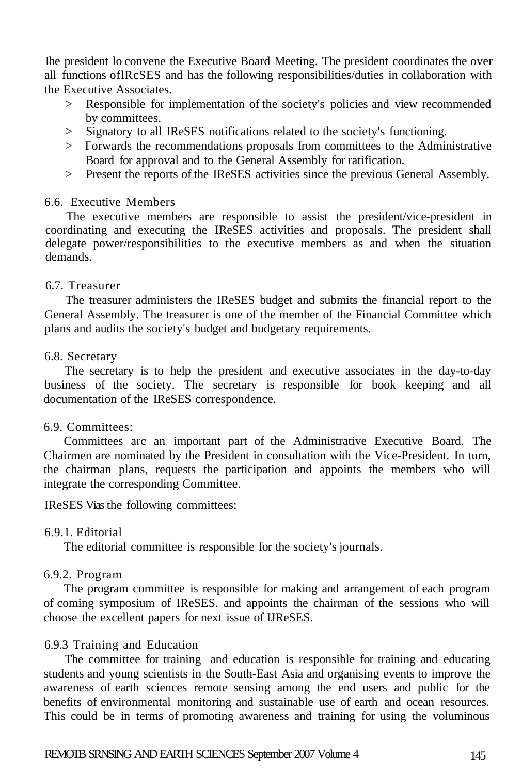Ihe president lo convene the Executive Board Meeting. The president coordinates the over all functions oflRcSES and has the following responsibilities/duties in collaboration with the Executive Associates.

- > Responsible for implementation of the society's policies and view recommended by committees.
- > Signatory to all IReSES notifications related to the society's functioning.
- > Forwards the recommendations proposals from committees to the Administrative Board for approval and to the General Assembly for ratification.
- > Present the reports of the IReSES activities since the previous General Assembly.

# 6.6. Executive Members

The executive members are responsible to assist the president/vice-president in coordinating and executing the IReSES activities and proposals. The president shall delegate power/responsibilities to the executive members as and when the situation demands.

# 6.7. Treasurer

The treasurer administers the IReSES budget and submits the financial report to the General Assembly. The treasurer is one of the member of the Financial Committee which plans and audits the society's budget and budgetary requirements.

## 6.8. Secretary

The secretary is to help the president and executive associates in the day-to-day business of the society. The secretary is responsible for book keeping and all documentation of the IReSES correspondence.

## 6.9. Committees:

Committees arc an important part of the Administrative Executive Board. The Chairmen are nominated by the President in consultation with the Vice-President. In turn, the chairman plans, requests the participation and appoints the members who will integrate the corresponding Committee.

IReSES Vias the following committees:

# 6.9.1. Editorial

The editorial committee is responsible for the society's journals.

## 6.9.2. Program

The program committee is responsible for making and arrangement of each program of coming symposium of IReSES. and appoints the chairman of the sessions who will choose the excellent papers for next issue of IJReSES.

## 6.9.3 Training and Education

The committee for training and education is responsible for training and educating students and young scientists in the South-East Asia and organising events to improve the awareness of earth sciences remote sensing among the end users and public for the benefits of environmental monitoring and sustainable use of earth and ocean resources. This could be in terms of promoting awareness and training for using the voluminous